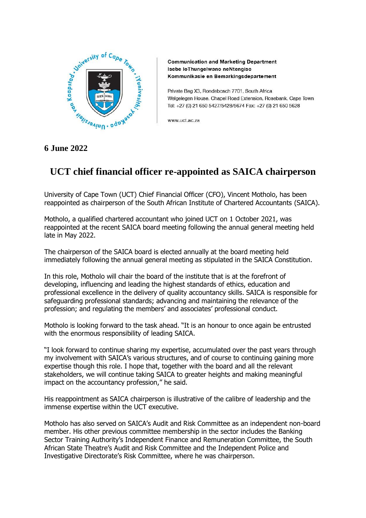

**Communication and Marketing Department** Isebe loThungelwano neNtengiso Kommunikasie en Bemarkingsdepartement

Private Bag X3, Rondebosch 7701, South Africa Welgelegen House, Chapel Road Extension, Rosebank, Cape Town Tel: +27 (0) 21 650 5427/5428/5674 Fax: +27 (0) 21 650 5628

www.uct.ac.za

## **6 June 2022**

## **UCT chief financial officer re-appointed as SAICA chairperson**

University of Cape Town (UCT) Chief Financial Officer (CFO), Vincent Motholo, has been reappointed as chairperson of the South African Institute of Chartered Accountants (SAICA).

Motholo, a qualified chartered accountant who joined UCT on 1 October 2021, was reappointed at the recent SAICA board meeting following the annual general meeting held late in May 2022.

The chairperson of the SAICA board is elected annually at the board meeting held immediately following the annual general meeting as stipulated in the SAICA Constitution.

In this role, Motholo will chair the board of the institute that is at the forefront of developing, influencing and leading the highest standards of ethics, education and professional excellence in the delivery of quality accountancy skills. SAICA is responsible for safeguarding professional standards; advancing and maintaining the relevance of the profession; and regulating the members' and associates' professional conduct.

Motholo is looking forward to the task ahead. "It is an honour to once again be entrusted with the enormous responsibility of leading SAICA.

"I look forward to continue sharing my expertise, accumulated over the past years through my involvement with SAICA's various structures, and of course to continuing gaining more expertise though this role. I hope that, together with the board and all the relevant stakeholders, we will continue taking SAICA to greater heights and making meaningful impact on the accountancy profession," he said.

His reappointment as SAICA chairperson is illustrative of the calibre of leadership and the immense expertise within the UCT executive.

Motholo has also served on SAICA's Audit and Risk Committee as an independent non-board member. His other previous committee membership in the sector includes the Banking Sector Training Authority's Independent Finance and Remuneration Committee, the South African State Theatre's Audit and Risk Committee and the Independent Police and Investigative Directorate's Risk Committee, where he was chairperson.